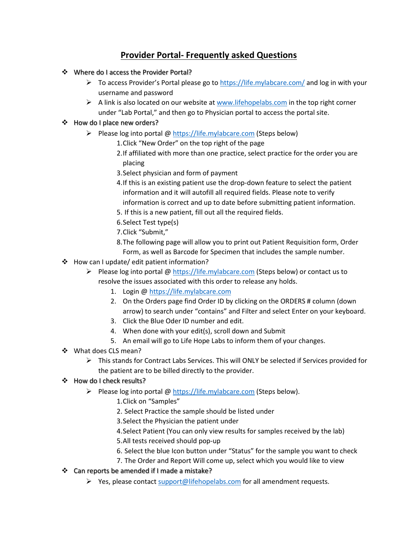## **Provider Portal- Frequently asked Questions**

- Where do I access the Provider Portal?
	- $\triangleright$  To access Provider's Portal please go to [https://life.mylabcare.com/](https://life.mylabcare.com/mlc/orders/) and log in with your username and password
	- $\triangleright$  A link is also located on our website a[t www.lifehopelabs.com](http://www.lifehopelabs.com/) in the top right corner under "Lab Portal," and then go to Physician portal to access the portal site.
- ❖ How do I place new orders?
	- Please log into portal  $\omega$  [https://life.mylabcare.com](https://life.mylabcare.com/) (Steps below)
		- 1.Click "New Order" on the top right of the page
		- 2.If affiliated with more than one practice, select practice for the order you are placing
		- 3.Select physician and form of payment
		- 4.If this is an existing patient use the drop-down feature to select the patient information and it will autofill all required fields. Please note to verify information is correct and up to date before submitting patient information.
		- 5. If this is a new patient, fill out all the required fields.
		- 6.Select Test type(s)
		- 7.Click "Submit,"
		- 8.The following page will allow you to print out Patient Requisition form, Order Form, as well as Barcode for Specimen that includes the sample number.
- How can I update/ edit patient information?
	- Please log into portal @ [https://life.mylabcare.com](https://life.mylabcare.com/) (Steps below) or contact us to resolve the issues associated with this order to release any holds.
		- 1. Login [@ https://life.mylabcare.com](https://life.mylabcare.com/)
		- 2. On the Orders page find Order ID by clicking on the ORDERS # column (down arrow) to search under "contains" and Filter and select Enter on your keyboard.
		- 3. Click the Blue Oder ID number and edit.
		- 4. When done with your edit(s), scroll down and Submit
		- 5. An email will go to Life Hope Labs to inform them of your changes.
- ❖ What does CLS mean?
	- $\triangleright$  This stands for Contract Labs Services. This will ONLY be selected if Services provided for the patient are to be billed directly to the provider.
- How do I check results?
	- Please log into portal @ [https://life.mylabcare.com](https://life.mylabcare.com/) (Steps below).
		- 1.Click on "Samples"
		- 2. Select Practice the sample should be listed under
		- 3.Select the Physician the patient under
		- 4.Select Patient (You can only view results for samples received by the lab)
		- 5.All tests received should pop-up
		- 6. Select the blue Icon button under "Status" for the sample you want to check
		- 7. The Order and Report Will come up, select which you would like to view
- ❖ Can reports be amended if I made a mistake?
	- $\triangleright$  Yes, please contac[t support@lifehopelabs.com](mailto:support@lifehopelabs.com) for all amendment requests.